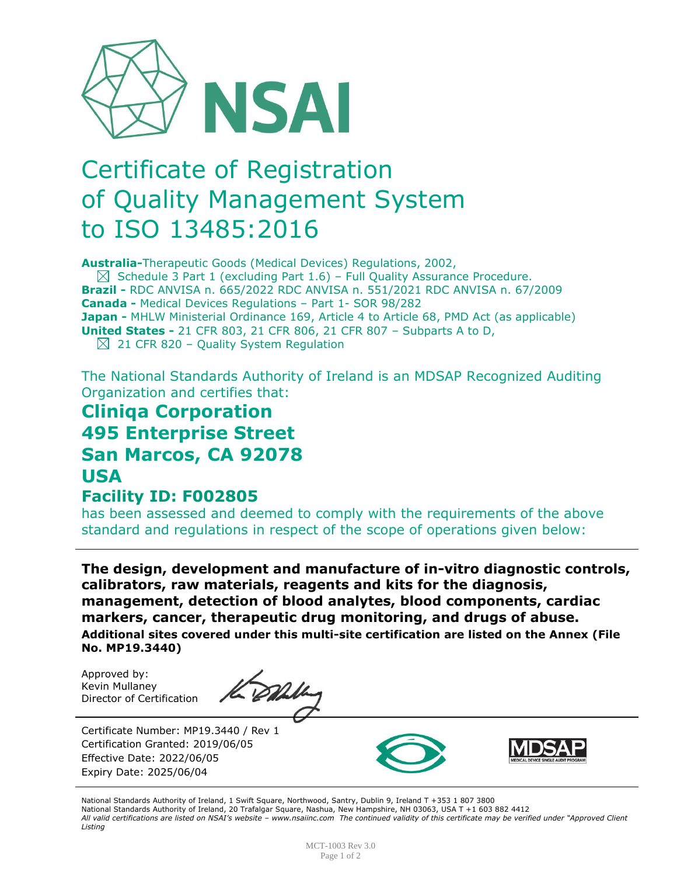

# Certificate of Registration of Quality Management System to ISO 13485:2016

**Australia-**Therapeutic Goods (Medical Devices) Regulations, 2002,

 $\boxtimes$  Schedule 3 Part 1 (excluding Part 1.6) – Full Quality Assurance Procedure. **Brazil -** RDC ANVISA n. 665/2022 RDC ANVISA n. 551/2021 RDC ANVISA n. 67/2009 **Canada -** Medical Devices Regulations – Part 1- SOR 98/282 **Japan -** MHLW Ministerial Ordinance 169, Article 4 to Article 68, PMD Act (as applicable) **United States -** 21 CFR 803, 21 CFR 806, 21 CFR 807 – Subparts A to D,  $\boxtimes$  21 CFR 820 – Quality System Regulation

The National Standards Authority of Ireland is an MDSAP Recognized Auditing Organization and certifies that:

# **Cliniqa Corporation 495 Enterprise Street San Marcos, CA 92078 USA**

#### **Facility ID: F002805**

has been assessed and deemed to comply with the requirements of the above standard and regulations in respect of the scope of operations given below:

**The design, development and manufacture of in-vitro diagnostic controls, calibrators, raw materials, reagents and kits for the diagnosis, management, detection of blood analytes, blood components, cardiac markers, cancer, therapeutic drug monitoring, and drugs of abuse. Additional sites covered under this multi-site certification are listed on the Annex (File No. MP19.3440)**

Approved by: Kevin Mullaney Director of Certification

Certificate Number: MP19.3440 / Rev 1 Certification Granted: 2019/06/05 Effective Date: 2022/06/05 Expiry Date: 2025/06/04





National Standards Authority of Ireland, 1 Swift Square, Northwood, Santry, Dublin 9, Ireland T +353 1 807 3800 National Standards Authority of Ireland, 20 Trafalgar Square, Nashua, New Hampshire, NH 03063, USA T +1 603 882 4412 *All valid certifications are listed on NSAI's website – www.nsaiinc.com The continued validity of this certificate may be verified under "Approved Client Listing*